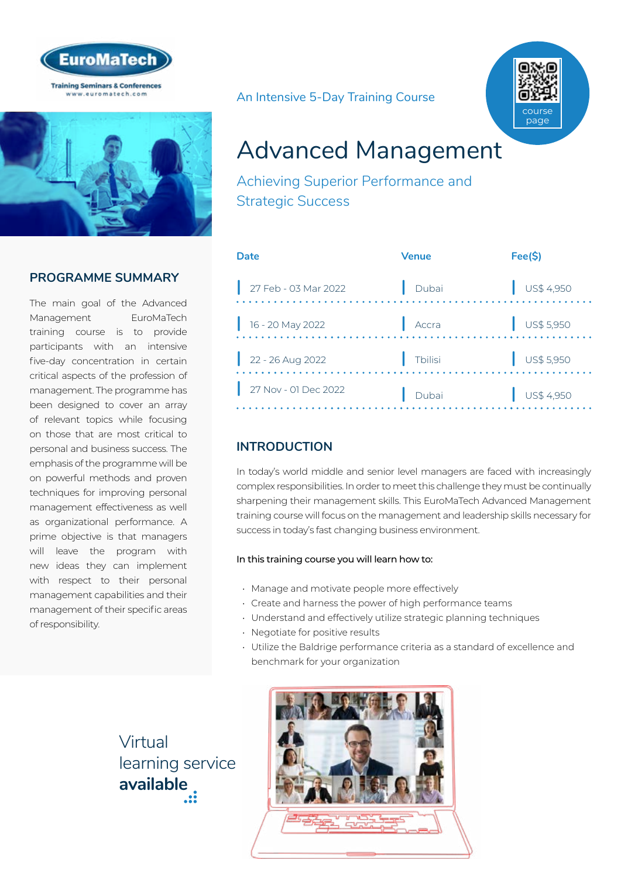



## **PROGRAMME SUMMARY**

The main goal of the Advanced Management EuroMaTech training course is to provide participants with an intensive five-day concentration in certain critical aspects of the profession of management. The programme has been designed to cover an array of relevant topics while focusing on those that are most critical to personal and business success. The emphasis of the programme will be on powerful methods and proven techniques for improving personal management effectiveness as well as organizational performance. A prime objective is that managers will leave the program with new ideas they can implement with respect to their personal management capabilities and their management of their specific areas of responsibility.

An Intensive 5-Day Training Course



# Advanced Management

Achieving Superior Performance and Strategic Success

| Date                 | <b>Venue</b> | Fee(S)                   |
|----------------------|--------------|--------------------------|
| 27 Feb - 03 Mar 2022 | Dubai        | $\frac{1}{2}$ US\$ 4,950 |
| 16 - 20 May 2022     | Accra        | $\frac{1}{2}$ US\$ 5,950 |
| $22 - 26$ Aug 2022   | Tbilisi      | $\bigcup$ US\$ 5,950     |
| 27 Nov - 01 Dec 2022 | Dubai        | US\$ 4,950               |

## **INTRODUCTION**

In today's world middle and senior level managers are faced with increasingly complex responsibilities. In order to meet this challenge they must be continually sharpening their management skills. This EuroMaTech Advanced Management training course will focus on the management and leadership skills necessary for success in today's fast changing business environment.

#### In this training course you will learn how to:

- Manage and motivate people more effectively
- Create and harness the power of high performance teams
- Understand and effectively utilize strategic planning techniques
- Negotiate for positive results
- Utilize the Baldrige performance criteria as a standard of excellence and benchmark for your organization

Virtual [learning service](http://www.euromatech.com/seminars/advanced-management/)  **available**

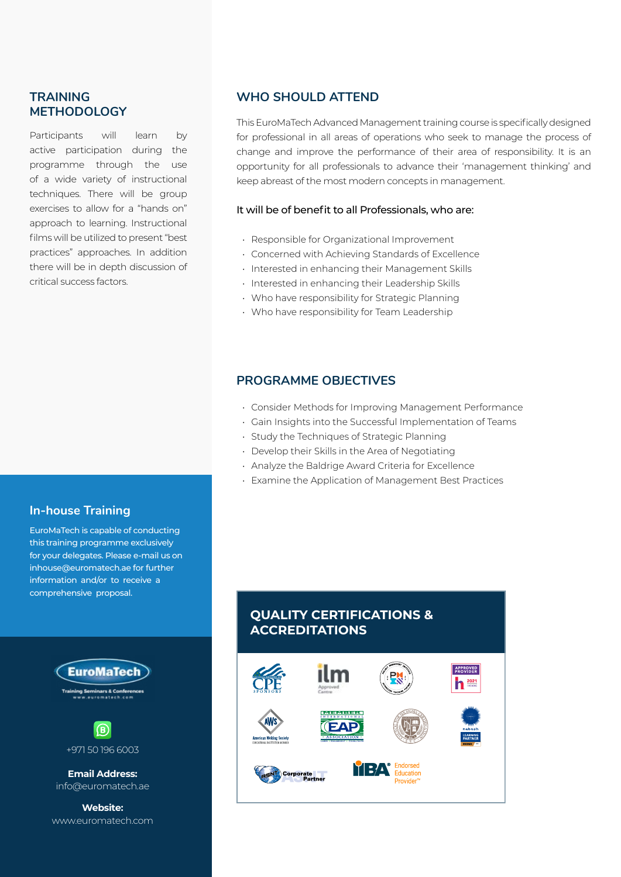#### **TRAINING METHODOLOGY**

Participants will learn by active participation during the programme through the use of a wide variety of instructional techniques. There will be group exercises to allow for a "hands on" approach to learning. Instructional films will be utilized to present "best practices" approaches. In addition there will be in depth discussion of critical success factors.

#### **WHO SHOULD ATTEND**

This EuroMaTech Advanced Management training course is specifically designed for professional in all areas of operations who seek to manage the process of change and improve the performance of their area of responsibility. It is an opportunity for all professionals to advance their 'management thinking' and keep abreast of the most modern concepts in management.

#### It will be of benefit to all Professionals, who are:

- Responsible for Organizational Improvement
- Concerned with Achieving Standards of Excellence
- Interested in enhancing their Management Skills
- Interested in enhancing their Leadership Skills
- Who have responsibility for Strategic Planning
- Who have responsibility for Team Leadership

#### **PROGRAMME OBJECTIVES**

- Consider Methods for Improving Management Performance
- Gain Insights into the Successful Implementation of Teams
- Study the Techniques of Strategic Planning
- Develop their Skills in the Area of Negotiating
- Analyze the Baldrige Award Criteria for Excellence
- Examine the Application of Management Best Practices

#### **In-house Training**

EuroMaTech is capable of conducting this training programme exclusively for your delegates. Please e-mail us on inhouse@euromatech.ae for further information and/or to receive a comprehensive proposal.



www.euromatech.com

## **QUALITY CERTIFICATIONS & ACCREDITATIONS**

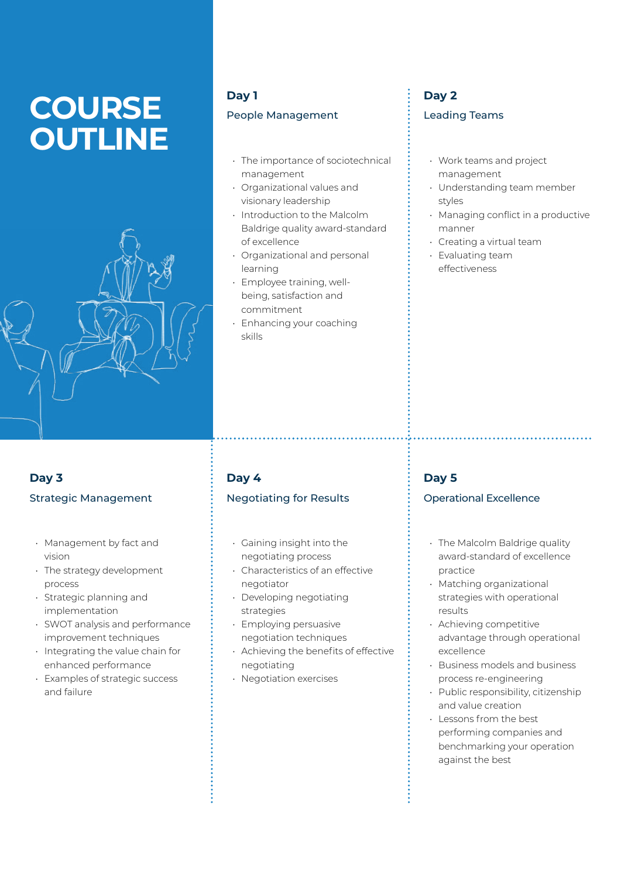# **COURSE OUTLINE**



## **Day 1**

#### People Management

- The importance of sociotechnical management
- Organizational values and visionary leadership
- Introduction to the Malcolm Baldrige quality award-standard of excellence
- Organizational and personal learning
- Employee training, wellbeing, satisfaction and commitment
- Enhancing your coaching skills

## **Day 2** Leading Teams

- Work teams and project management
- Understanding team member styles
- Managing conflict in a productive manner
- Creating a virtual team
- Evaluating team effectiveness

## **Day 3** Strategic Management

- Management by fact and vision
- The strategy development process
- Strategic planning and implementation
- SWOT analysis and performance improvement techniques
- Integrating the value chain for enhanced performance
- Examples of strategic success and failure

## **Day 4**

## Negotiating for Results

- Gaining insight into the negotiating process
- Characteristics of an effective negotiator
- Developing negotiating strategies
- Employing persuasive negotiation techniques
- Achieving the benefits of effective negotiating
- Negotiation exercises

## **Day 5**

#### Operational Excellence

- The Malcolm Baldrige quality award-standard of excellence practice
- Matching organizational strategies with operational results
- Achieving competitive advantage through operational excellence
- Business models and business process re-engineering
- Public responsibility, citizenship and value creation
- Lessons from the best performing companies and benchmarking your operation against the best